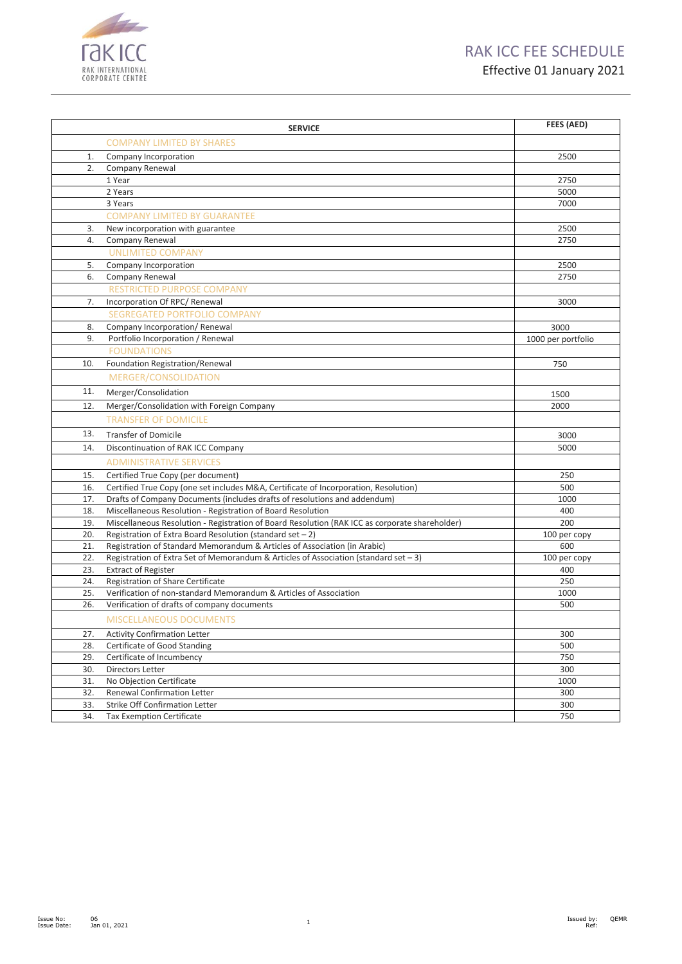



|     | <b>SERVICE</b>                                                                                 | FEES (AED)         |
|-----|------------------------------------------------------------------------------------------------|--------------------|
|     | <b>COMPANY LIMITED BY SHARES</b>                                                               |                    |
| 1.  | Company Incorporation                                                                          | 2500               |
| 2.  | Company Renewal                                                                                |                    |
|     | 1 Year                                                                                         | 2750               |
|     | 2 Years                                                                                        | 5000               |
|     | 3 Years                                                                                        | 7000               |
|     | <b>COMPANY LIMITED BY GUARANTEE</b>                                                            |                    |
| 3.  | New incorporation with guarantee                                                               | 2500               |
| 4.  | Company Renewal                                                                                | 2750               |
|     | <b>UNLIMITED COMPANY</b>                                                                       |                    |
| 5.  | Company Incorporation                                                                          | 2500               |
| 6.  | Company Renewal                                                                                | 2750               |
|     | RESTRICTED PURPOSE COMPANY                                                                     |                    |
| 7.  | Incorporation Of RPC/ Renewal                                                                  | 3000               |
|     | <b>SEGREGATED PORTFOLIO COMPANY</b>                                                            |                    |
| 8.  | Company Incorporation/ Renewal                                                                 | 3000               |
| 9.  | Portfolio Incorporation / Renewal                                                              | 1000 per portfolio |
|     | <b>FOUNDATIONS</b>                                                                             |                    |
| 10. | Foundation Registration/Renewal                                                                | 750                |
|     | MERGER/CONSOLIDATION                                                                           |                    |
| 11. | Merger/Consolidation                                                                           | 1500               |
| 12. | Merger/Consolidation with Foreign Company                                                      | 2000               |
|     | <b>TRANSFER OF DOMICILE</b>                                                                    |                    |
| 13. | <b>Transfer of Domicile</b>                                                                    | 3000               |
| 14. | Discontinuation of RAK ICC Company                                                             | 5000               |
|     | <b>ADMINISTRATIVE SERVICES</b>                                                                 |                    |
| 15. | Certified True Copy (per document)                                                             | 250                |
| 16. | Certified True Copy (one set includes M&A, Certificate of Incorporation, Resolution)           | 500                |
| 17. | Drafts of Company Documents (includes drafts of resolutions and addendum)                      | 1000               |
| 18. | Miscellaneous Resolution - Registration of Board Resolution                                    | 400                |
| 19. | Miscellaneous Resolution - Registration of Board Resolution (RAK ICC as corporate shareholder) | 200                |
| 20. | Registration of Extra Board Resolution (standard set $-2$ )                                    | 100 per copy       |
| 21. | Registration of Standard Memorandum & Articles of Association (in Arabic)                      | 600                |
| 22. | Registration of Extra Set of Memorandum & Articles of Association (standard set $-3$ )         | 100 per copy       |
| 23. | <b>Extract of Register</b>                                                                     | 400                |
| 24. | Registration of Share Certificate                                                              | 250                |
| 25. | Verification of non-standard Memorandum & Articles of Association                              | 1000               |
| 26. | Verification of drafts of company documents                                                    | 500                |
|     | <b>MISCELLANEOUS DOCUMENTS</b>                                                                 |                    |
| 27. | <b>Activity Confirmation Letter</b>                                                            | 300                |
| 28. | Certificate of Good Standing                                                                   | 500                |
| 29. | Certificate of Incumbency                                                                      | 750                |
| 30. | Directors Letter                                                                               | 300                |
| 31. | No Objection Certificate                                                                       | 1000               |
| 32. | <b>Renewal Confirmation Letter</b>                                                             | 300                |
| 33. | Strike Off Confirmation Letter                                                                 | 300                |
| 34. | <b>Tax Exemption Certificate</b>                                                               | 750                |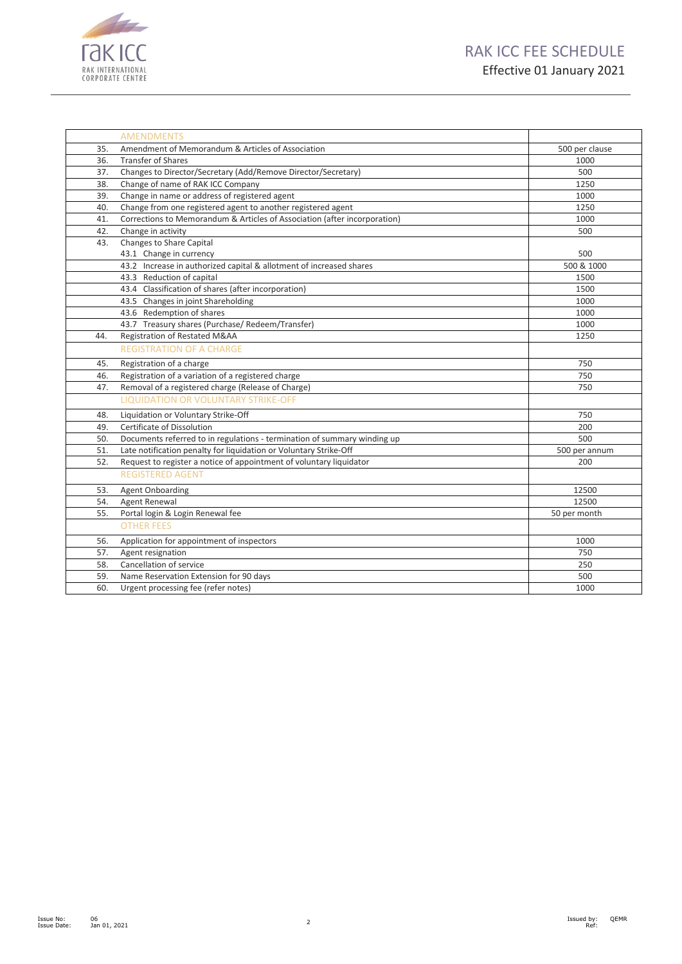

|     | <b>AMENDMENTS</b>                                                         |                |
|-----|---------------------------------------------------------------------------|----------------|
| 35. | Amendment of Memorandum & Articles of Association                         | 500 per clause |
| 36. | <b>Transfer of Shares</b>                                                 | 1000           |
| 37. | Changes to Director/Secretary (Add/Remove Director/Secretary)             | 500            |
| 38. | Change of name of RAK ICC Company                                         | 1250           |
| 39. | Change in name or address of registered agent                             | 1000           |
| 40. | Change from one registered agent to another registered agent              | 1250           |
| 41. | Corrections to Memorandum & Articles of Association (after incorporation) | 1000           |
| 42. | Change in activity                                                        | 500            |
| 43. | Changes to Share Capital                                                  |                |
|     | 43.1 Change in currency                                                   | 500            |
|     | 43.2 Increase in authorized capital & allotment of increased shares       | 500 & 1000     |
|     | 43.3 Reduction of capital                                                 | 1500           |
|     | 43.4 Classification of shares (after incorporation)                       | 1500           |
|     | 43.5 Changes in joint Shareholding                                        | 1000           |
|     | 43.6 Redemption of shares                                                 | 1000           |
|     | 43.7 Treasury shares (Purchase/ Redeem/Transfer)                          | 1000           |
| 44. | Registration of Restated M&AA                                             | 1250           |
|     | <b>REGISTRATION OF A CHARGE</b>                                           |                |
| 45. | Registration of a charge                                                  | 750            |
| 46. | Registration of a variation of a registered charge                        | 750            |
| 47. | Removal of a registered charge (Release of Charge)                        | 750            |
|     | <b>LIQUIDATION OR VOLUNTARY STRIKE-OFF</b>                                |                |
| 48. | Liquidation or Voluntary Strike-Off                                       | 750            |
| 49. | Certificate of Dissolution                                                | 200            |
| 50. | Documents referred to in regulations - termination of summary winding up  | 500            |
| 51. | Late notification penalty for liquidation or Voluntary Strike-Off         | 500 per annum  |
| 52. | Request to register a notice of appointment of voluntary liquidator       | 200            |
|     | <b>REGISTERED AGENT</b>                                                   |                |
| 53. | Agent Onboarding                                                          | 12500          |
| 54. | Agent Renewal                                                             | 12500          |
| 55. | Portal login & Login Renewal fee                                          | 50 per month   |
|     | <b>OTHER FEES</b>                                                         |                |
| 56. | Application for appointment of inspectors                                 | 1000           |
| 57. | Agent resignation                                                         | 750            |
| 58. | Cancellation of service                                                   | 250            |
| 59. | Name Reservation Extension for 90 days                                    | 500            |
| 60. | Urgent processing fee (refer notes)                                       | 1000           |